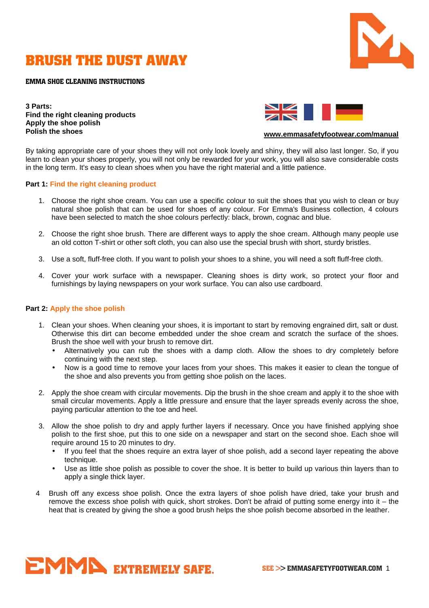

# **BRUSH THE DUST AWAY**

**EMMA SHOE CLEANING INSTRUCTIONS** 

**3 Parts: Find the right cleaning products Apply the shoe polish Polish the shoes** 



#### **www.emmasafetyfootwear.com/manual**

By taking appropriate care of your shoes they will not only look lovely and shiny, they will also last longer. So, if you learn to clean your shoes properly, you will not only be rewarded for your work, you will also save considerable costs in the long term. It's easy to clean shoes when you have the right material and a little patience.

#### **Part 1: Find the right cleaning product**

- 1. Choose the right shoe cream. You can use a specific colour to suit the shoes that you wish to clean or buy natural shoe polish that can be used for shoes of any colour. For Emma's Business collection, 4 colours have been selected to match the shoe colours perfectly: black, brown, cognac and blue.
- 2. Choose the right shoe brush. There are different ways to apply the shoe cream. Although many people use an old cotton T-shirt or other soft cloth, you can also use the special brush with short, sturdy bristles.
- 3. Use a soft, fluff-free cloth. If you want to polish your shoes to a shine, you will need a soft fluff-free cloth.
- 4. Cover your work surface with a newspaper. Cleaning shoes is dirty work, so protect your floor and furnishings by laying newspapers on your work surface. You can also use cardboard.

#### **Part 2: Apply the shoe polish**

- 1. Clean your shoes. When cleaning your shoes, it is important to start by removing engrained dirt, salt or dust. Otherwise this dirt can become embedded under the shoe cream and scratch the surface of the shoes. Brush the shoe well with your brush to remove dirt.
	- Alternatively you can rub the shoes with a damp cloth. Allow the shoes to dry completely before continuing with the next step.
	- Now is a good time to remove your laces from your shoes. This makes it easier to clean the tongue of the shoe and also prevents you from getting shoe polish on the laces.
- 2. Apply the shoe cream with circular movements. Dip the brush in the shoe cream and apply it to the shoe with small circular movements. Apply a little pressure and ensure that the layer spreads evenly across the shoe, paying particular attention to the toe and heel.
- 3. Allow the shoe polish to dry and apply further layers if necessary. Once you have finished applying shoe polish to the first shoe, put this to one side on a newspaper and start on the second shoe. Each shoe will require around 15 to 20 minutes to dry.
	- If you feel that the shoes require an extra layer of shoe polish, add a second layer repeating the above technique.
	- Use as little shoe polish as possible to cover the shoe. It is better to build up various thin layers than to apply a single thick layer.
- 4 Brush off any excess shoe polish. Once the extra layers of shoe polish have dried, take your brush and remove the excess shoe polish with quick, short strokes. Don't be afraid of putting some energy into it – the heat that is created by giving the shoe a good brush helps the shoe polish become absorbed in the leather.